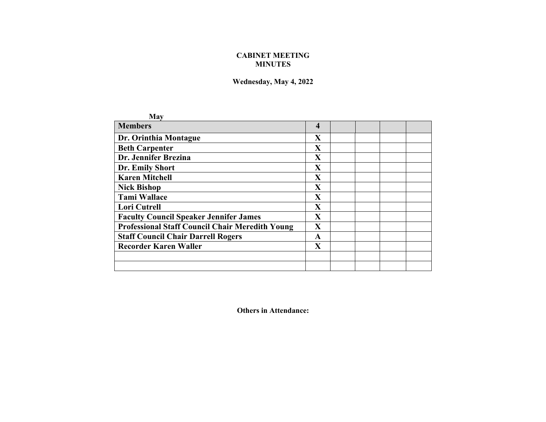## **CABINET MEETING MINUTES**

## **Wednesday, May 4, 2022**

| May                                                    |                         |  |  |
|--------------------------------------------------------|-------------------------|--|--|
| <b>Members</b>                                         | $\overline{\mathbf{4}}$ |  |  |
| Dr. Orinthia Montague                                  | $\mathbf{X}$            |  |  |
| <b>Beth Carpenter</b>                                  | X                       |  |  |
| Dr. Jennifer Brezina                                   | $\mathbf{X}$            |  |  |
| Dr. Emily Short                                        | X                       |  |  |
| <b>Karen Mitchell</b>                                  | X                       |  |  |
| <b>Nick Bishop</b>                                     | $\mathbf{X}$            |  |  |
| <b>Tami Wallace</b>                                    | $\mathbf X$             |  |  |
| <b>Lori Cutrell</b>                                    | $\mathbf{X}$            |  |  |
| <b>Faculty Council Speaker Jennifer James</b>          | $\mathbf{X}$            |  |  |
| <b>Professional Staff Council Chair Meredith Young</b> | X                       |  |  |
| <b>Staff Council Chair Darrell Rogers</b>              | A                       |  |  |
| <b>Recorder Karen Waller</b>                           | $\mathbf X$             |  |  |
|                                                        |                         |  |  |
|                                                        |                         |  |  |

**Others in Attendance:**